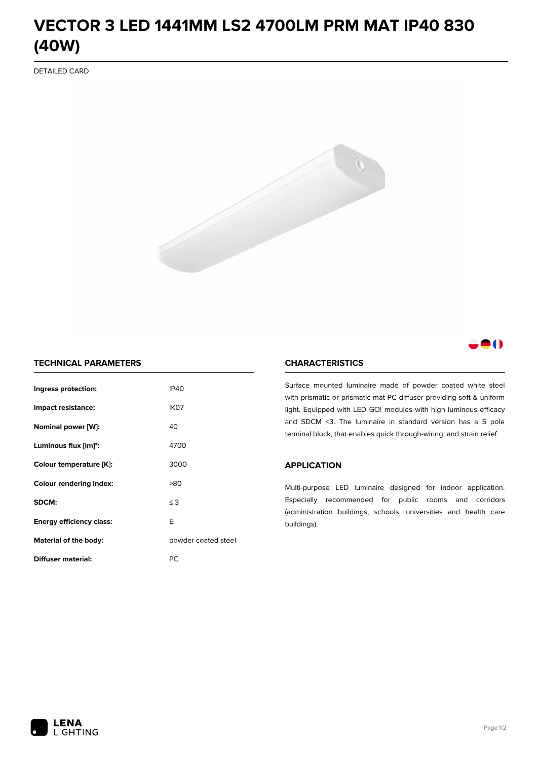# **VECTOR 3 LED 1441MM LS2 4700LM PRM MAT IP40 830 (40W)**

DETAILED CARD



# 80

# **TECHNICAL PARAMETERS**

| Ingress protection:             | <b>IP40</b>         |  |
|---------------------------------|---------------------|--|
| Impact resistance:              | IK <sub>07</sub>    |  |
| Nominal power [W]:              | 40                  |  |
| Luminous flux [lm]*:            | 4700                |  |
| Colour temperature [K]:         | 3000                |  |
| <b>Colour rendering index:</b>  | >80                 |  |
| SDCM:                           | $\leq$ 3            |  |
| <b>Energy efficiency class:</b> | E                   |  |
| Material of the body:           | powder coated steel |  |
| Diffuser material:              | РC                  |  |

### **CHARACTERISTICS**

Surface mounted luminaire made of powder coated white steel with prismatic or prismatic mat PC diffuser providing soft & uniform light. Equipped with LED GO! modules with high luminous efficacy and SDCM <3. The luminaire in standard version has a 5 pole terminal block, that enables quick through-wiring, and strain relief.

#### **APPLICATION**

Multi-purpose LED luminaire designed for indoor application. Especially recommended for public rooms and corridors (administration buildings, schools, universities and health care buildings).